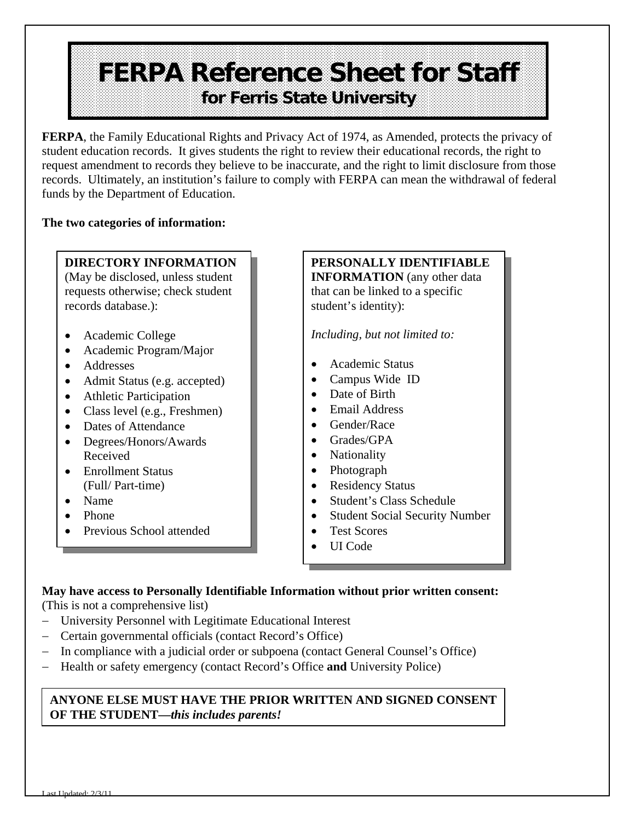# **FERPA Reference Sheet for Staff for Ferris State University**

**FERPA**, the Family Educational Rights and Privacy Act of 1974, as Amended, protects the privacy of student education records. It gives students the right to review their educational records, the right to request amendment to records they believe to be inaccurate, and the right to limit disclosure from those records. Ultimately, an institution's failure to comply with FERPA can mean the withdrawal of federal funds by the Department of Education.

#### **The two categories of information:**

#### **DIRECTORY INFORMATION**

(May be disclosed, unless student requests otherwise; check student records database.):

- Academic College
- Academic Program/Major
- Addresses
- Admit Status (e.g. accepted)
- Athletic Participation
- Class level (e.g., Freshmen)
- Dates of Attendance
- Degrees/Honors/Awards Received
- Enrollment Status (Full/ Part-time)
- Name
- Phone
- Previous School attended

### **PERSONALLY IDENTIFIABLE**

**INFORMATION** (any other data) that can be linked to a specific student's identity):

*Including, but not limited to:* 

- Academic Status
- Campus Wide ID
- Date of Birth
- Email Address
- Gender/Race
- Grades/GPA
- Nationality
- Photograph
- Residency Status
- Student's Class Schedule
- Student Social Security Number
- Test Scores
- UI Code

#### **May have access to Personally Identifiable Information without prior written consent:**

(This is not a comprehensive list)

- University Personnel with Legitimate Educational Interest
- Certain governmental officials (contact Record's Office)
- In compliance with a judicial order or subpoena (contact General Counsel's Office)
- Health or safety emergency (contact Record's Office **and** University Police)

#### **ANYONE ELSE MUST HAVE THE PRIOR WRITTEN AND SIGNED CONSENT OF THE STUDENT—***this includes parents!*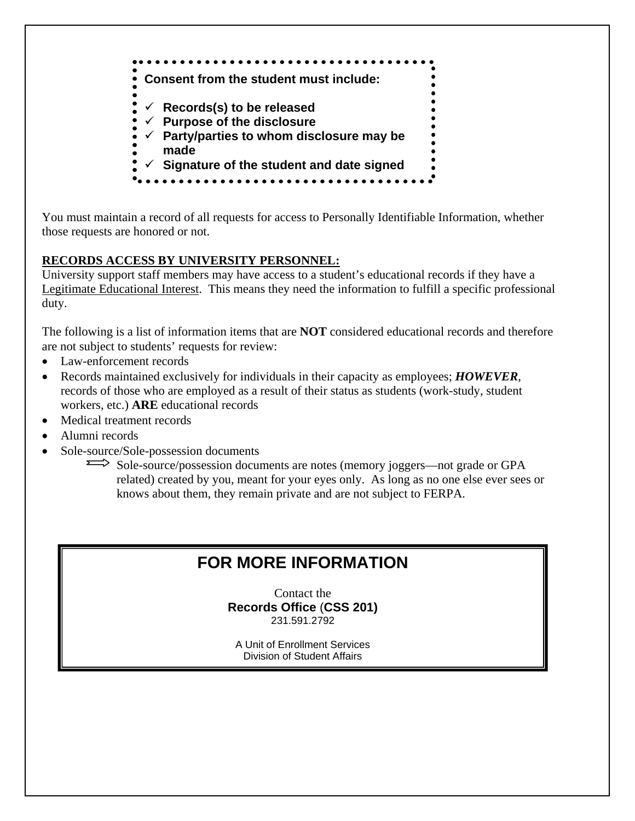

You must maintain a record of all requests for access to Personally Identifiable Information, whether those requests are honored or not.

#### **RECORDS ACCESS BY UNIVERSITY PERSONNEL:**

University support staff members may have access to a student's educational records if they have a Legitimate Educational Interest. This means they need the information to fulfill a specific professional duty.

The following is a list of information items that are **NOT** considered educational records and therefore are not subject to students' requests for review:

- Law-enforcement records
- Records maintained exclusively for individuals in their capacity as employees; *HOWEVER*, records of those who are employed as a result of their status as students (work-study, student workers, etc.) **ARE** educational records
- Medical treatment records
- Alumni records
- Sole-source/Sole-possession documents

Sole-source/possession documents are notes (memory joggers—not grade or GPA related) created by you, meant for your eyes only. As long as no one else ever sees or knows about them, they remain private and are not subject to FERPA.

## **FOR MORE INFORMATION**

Contact the **Records Office** (**CSS 201)**  231.591.2792

A Unit of Enrollment Services Division of Student Affairs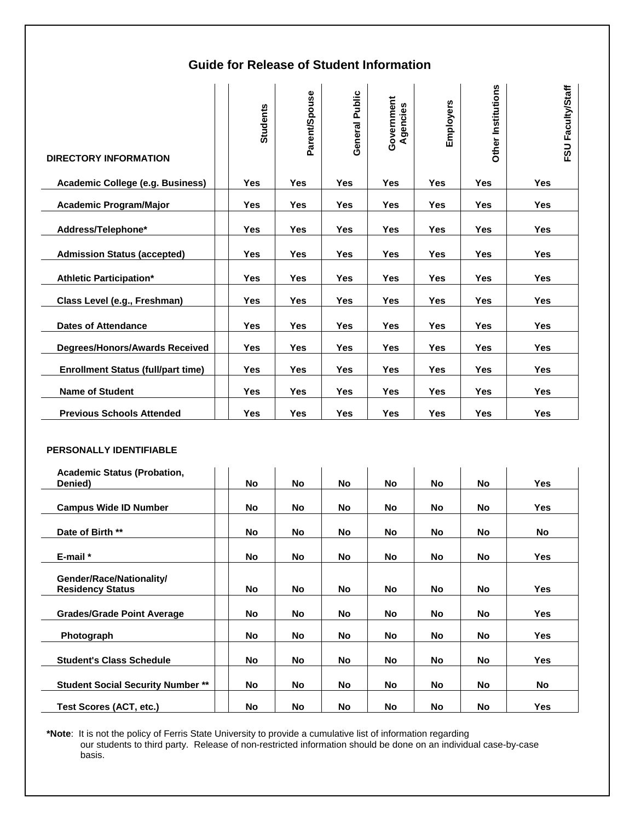#### **Guide for Release of Student Information**

| <b>DIRECTORY INFORMATION</b>              | <b>Students</b> | Parent/Spouse | General Public | Government<br>Agencies | Employers  | Other Institutions | FSU Faculty/Staff |
|-------------------------------------------|-----------------|---------------|----------------|------------------------|------------|--------------------|-------------------|
| Academic College (e.g. Business)          | <b>Yes</b>      | Yes           | <b>Yes</b>     | <b>Yes</b>             | <b>Yes</b> | <b>Yes</b>         | <b>Yes</b>        |
| <b>Academic Program/Major</b>             | <b>Yes</b>      | <b>Yes</b>    | <b>Yes</b>     | <b>Yes</b>             | Yes        | <b>Yes</b>         | Yes               |
| Address/Telephone*                        | <b>Yes</b>      | <b>Yes</b>    | <b>Yes</b>     | <b>Yes</b>             | <b>Yes</b> | <b>Yes</b>         | Yes               |
| <b>Admission Status (accepted)</b>        | <b>Yes</b>      | Yes           | <b>Yes</b>     | <b>Yes</b>             | Yes        | <b>Yes</b>         | Yes               |
| <b>Athletic Participation*</b>            | Yes             | <b>Yes</b>    | Yes            | <b>Yes</b>             | Yes        | Yes                | Yes               |
| Class Level (e.g., Freshman)              | <b>Yes</b>      | Yes           | <b>Yes</b>     | <b>Yes</b>             | Yes        | <b>Yes</b>         | Yes               |
| <b>Dates of Attendance</b>                | <b>Yes</b>      | <b>Yes</b>    | <b>Yes</b>     | <b>Yes</b>             | <b>Yes</b> | <b>Yes</b>         | <b>Yes</b>        |
| <b>Degrees/Honors/Awards Received</b>     | Yes             | Yes           | Yes            | Yes                    | Yes        | Yes                | Yes               |
| <b>Enrollment Status (full/part time)</b> | Yes             | Yes           | Yes            | <b>Yes</b>             | Yes        | Yes                | Yes               |
| <b>Name of Student</b>                    | <b>Yes</b>      | Yes           | <b>Yes</b>     | <b>Yes</b>             | <b>Yes</b> | <b>Yes</b>         | Yes               |
| <b>Previous Schools Attended</b>          | <b>Yes</b>      | Yes           | <b>Yes</b>     | <b>Yes</b>             | Yes        | <b>Yes</b>         | Yes               |

#### **PERSONALLY IDENTIFIABLE**

| <b>Academic Status (Probation,</b><br>Denied)       | <b>No</b> | No | <b>No</b> | No        | No        | No  | Yes        |
|-----------------------------------------------------|-----------|----|-----------|-----------|-----------|-----|------------|
|                                                     |           |    |           |           |           |     |            |
| <b>Campus Wide ID Number</b>                        | <b>No</b> | No | No        | No.       | No        | No  | <b>Yes</b> |
|                                                     |           |    |           |           |           |     |            |
| Date of Birth **                                    | <b>No</b> | No | <b>No</b> | No        | No        | No  | No         |
|                                                     |           |    |           |           |           |     |            |
| $E$ -mail $*$                                       | <b>No</b> | No | <b>No</b> | No        | No        | No  | Yes        |
|                                                     |           |    |           |           |           |     |            |
| Gender/Race/Nationality/<br><b>Residency Status</b> | <b>No</b> | No | <b>No</b> | No        | No        | No. | Yes        |
|                                                     |           |    |           |           |           |     |            |
| <b>Grades/Grade Point Average</b>                   | <b>No</b> | No | <b>No</b> | No        | No        | No  | <b>Yes</b> |
|                                                     |           |    |           |           |           |     |            |
| Photograph                                          | <b>No</b> | No | <b>No</b> | No.       | No        | No. | Yes        |
|                                                     |           |    |           |           |           |     |            |
| <b>Student's Class Schedule</b>                     | <b>No</b> | No | <b>No</b> | No.       | No        | No  | <b>Yes</b> |
|                                                     |           |    |           |           |           |     |            |
| <b>Student Social Security Number **</b>            | <b>No</b> | No | <b>No</b> | No        | No        | No  | No         |
|                                                     |           |    |           |           |           |     |            |
| Test Scores (ACT, etc.)                             | No        | No | <b>No</b> | <b>No</b> | <b>No</b> | No  | <b>Yes</b> |

**\*Note**: It is not the policy of Ferris State University to provide a cumulative list of information regarding our students to third party. Release of non-restricted information should be done on an individual case-by-case basis.